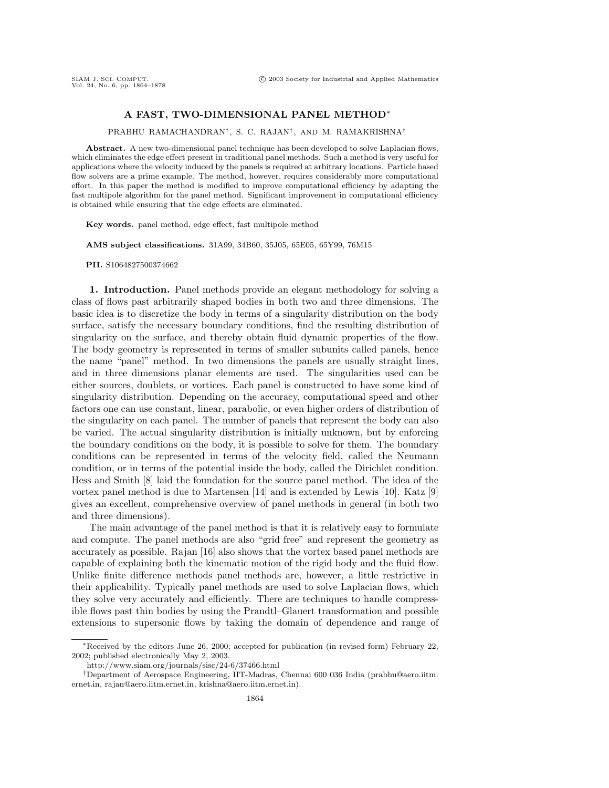## **A FAST, TWO-DIMENSIONAL PANEL METHOD**∗

PRABHU RAMACHANDRAN†, S. C. RAJAN†, AND M. RAMAKRISHNA†

Abstract. A new two-dimensional panel technique has been developed to solve Laplacian flows, which eliminates the edge effect present in traditional panel methods. Such a method is very useful for applications where the velocity induced by the panels is required at arbitrary locations. Particle based flow solvers are a prime example. The method, however, requires considerably more computational effort. In this paper the method is modified to improve computational efficiency by adapting the fast multipole algorithm for the panel method. Significant improvement in computational efficiency is obtained while ensuring that the edge effects are eliminated.

**Key words.** panel method, edge effect, fast multipole method

**AMS subject classifications.** 31A99, 34B60, 35J05, 65E05, 65Y99, 76M15

**PII.** S1064827500374662

**1. Introduction.** Panel methods provide an elegant methodology for solving a class of flows past arbitrarily shaped bodies in both two and three dimensions. The basic idea is to discretize the body in terms of a singularity distribution on the body surface, satisfy the necessary boundary conditions, find the resulting distribution of singularity on the surface, and thereby obtain fluid dynamic properties of the flow. The body geometry is represented in terms of smaller subunits called panels, hence the name "panel" method. In two dimensions the panels are usually straight lines, and in three dimensions planar elements are used. The singularities used can be either sources, doublets, or vortices. Each panel is constructed to have some kind of singularity distribution. Depending on the accuracy, computational speed and other factors one can use constant, linear, parabolic, or even higher orders of distribution of the singularity on each panel. The number of panels that represent the body can also be varied. The actual singularity distribution is initially unknown, but by enforcing the boundary conditions on the body, it is possible to solve for them. The boundary conditions can be represented in terms of the velocity field, called the Neumann condition, or in terms of the potential inside the body, called the Dirichlet condition. Hess and Smith [8] laid the foundation for the source panel method. The idea of the vortex panel method is due to Martensen [14] and is extended by Lewis [10]. Katz [9] gives an excellent, comprehensive overview of panel methods in general (in both two and three dimensions).

The main advantage of the panel method is that it is relatively easy to formulate and compute. The panel methods are also "grid free" and represent the geometry as accurately as possible. Rajan [16] also shows that the vortex based panel methods are capable of explaining both the kinematic motion of the rigid body and the fluid flow. Unlike finite difference methods panel methods are, however, a little restrictive in their applicability. Typically panel methods are used to solve Laplacian flows, which they solve very accurately and efficiently. There are techniques to handle compressible flows past thin bodies by using the Prandtl–Glauert transformation and possible extensions to supersonic flows by taking the domain of dependence and range of

<sup>∗</sup>Received by the editors June 26, 2000; accepted for publication (in revised form) February 22, 2002; published electronically May 2, 2003.

http://www.siam.org/journals/sisc/24-6/37466.html

<sup>†</sup>Department of Aerospace Engineering, IIT-Madras, Chennai 600 036 India (prabhu@aero.iitm. ernet.in, rajan@aero.iitm.ernet.in, krishna@aero.iitm.ernet.in).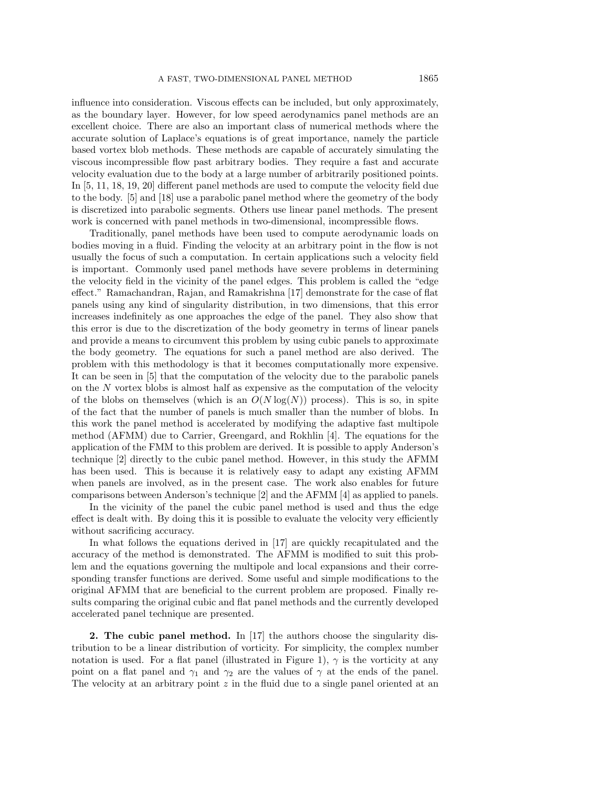influence into consideration. Viscous effects can be included, but only approximately, as the boundary layer. However, for low speed aerodynamics panel methods are an excellent choice. There are also an important class of numerical methods where the accurate solution of Laplace's equations is of great importance, namely the particle based vortex blob methods. These methods are capable of accurately simulating the viscous incompressible flow past arbitrary bodies. They require a fast and accurate velocity evaluation due to the body at a large number of arbitrarily positioned points. In [5, 11, 18, 19, 20] different panel methods are used to compute the velocity field due to the body. [5] and [18] use a parabolic panel method where the geometry of the body is discretized into parabolic segments. Others use linear panel methods. The present work is concerned with panel methods in two-dimensional, incompressible flows.

Traditionally, panel methods have been used to compute aerodynamic loads on bodies moving in a fluid. Finding the velocity at an arbitrary point in the flow is not usually the focus of such a computation. In certain applications such a velocity field is important. Commonly used panel methods have severe problems in determining the velocity field in the vicinity of the panel edges. This problem is called the "edge effect." Ramachandran, Rajan, and Ramakrishna [17] demonstrate for the case of flat panels using any kind of singularity distribution, in two dimensions, that this error increases indefinitely as one approaches the edge of the panel. They also show that this error is due to the discretization of the body geometry in terms of linear panels and provide a means to circumvent this problem by using cubic panels to approximate the body geometry. The equations for such a panel method are also derived. The problem with this methodology is that it becomes computationally more expensive. It can be seen in [5] that the computation of the velocity due to the parabolic panels on the  $N$  vortex blobs is almost half as expensive as the computation of the velocity of the blobs on themselves (which is an  $O(N \log(N))$ ) process). This is so, in spite of the fact that the number of panels is much smaller than the number of blobs. In this work the panel method is accelerated by modifying the adaptive fast multipole method (AFMM) due to Carrier, Greengard, and Rokhlin [4]. The equations for the application of the FMM to this problem are derived. It is possible to apply Anderson's technique [2] directly to the cubic panel method. However, in this study the AFMM has been used. This is because it is relatively easy to adapt any existing AFMM when panels are involved, as in the present case. The work also enables for future comparisons between Anderson's technique [2] and the AFMM [4] as applied to panels.

In the vicinity of the panel the cubic panel method is used and thus the edge effect is dealt with. By doing this it is possible to evaluate the velocity very efficiently without sacrificing accuracy.

In what follows the equations derived in [17] are quickly recapitulated and the accuracy of the method is demonstrated. The AFMM is modified to suit this problem and the equations governing the multipole and local expansions and their corresponding transfer functions are derived. Some useful and simple modifications to the original AFMM that are beneficial to the current problem are proposed. Finally results comparing the original cubic and flat panel methods and the currently developed accelerated panel technique are presented.

**2. The cubic panel method.** In [17] the authors choose the singularity distribution to be a linear distribution of vorticity. For simplicity, the complex number notation is used. For a flat panel (illustrated in Figure 1),  $\gamma$  is the vorticity at any point on a flat panel and  $\gamma_1$  and  $\gamma_2$  are the values of  $\gamma$  at the ends of the panel. The velocity at an arbitrary point  $z$  in the fluid due to a single panel oriented at an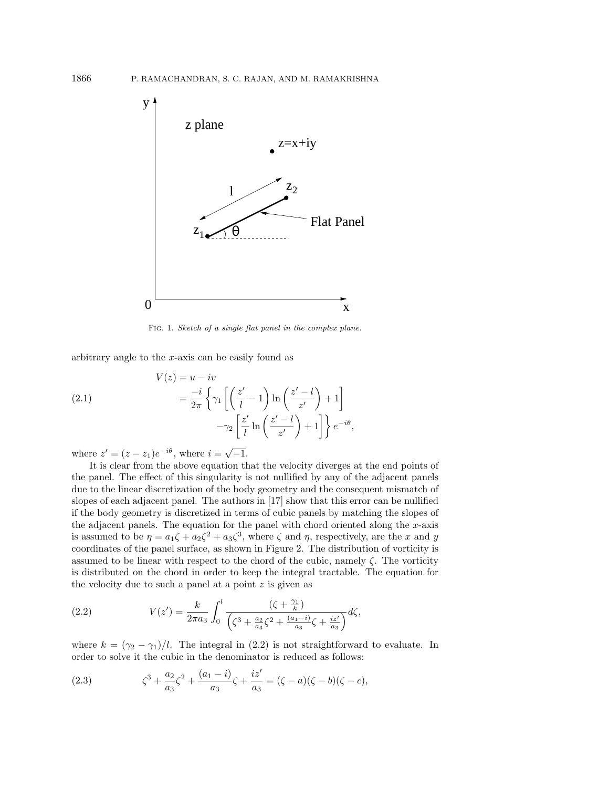

Fig. 1. Sketch of a single flat panel in the complex plane.

arbitrary angle to the x-axis can be easily found as

(2.1)  

$$
V(z) = u - iv
$$

$$
= \frac{-i}{2\pi} \left\{ \gamma_1 \left[ \left( \frac{z'}{l} - 1 \right) \ln \left( \frac{z' - l}{z'} \right) + 1 \right] -\gamma_2 \left[ \frac{z'}{l} \ln \left( \frac{z' - l}{z'} \right) + 1 \right] \right\} e^{-i\theta},
$$

where  $z' = (z - z_1)e^{-i\theta}$ , where  $i = \sqrt{-1}$ .

It is clear from the above equation that the velocity diverges at the end points of the panel. The effect of this singularity is not nullified by any of the adjacent panels due to the linear discretization of the body geometry and the consequent mismatch of slopes of each adjacent panel. The authors in [17] show that this error can be nullified if the body geometry is discretized in terms of cubic panels by matching the slopes of the adjacent panels. The equation for the panel with chord oriented along the  $x$ -axis is assumed to be  $\eta = a_1 \zeta + a_2 \zeta^2 + a_3 \zeta^3$ , where  $\zeta$  and  $\eta$ , respectively, are the x and y coordinates of the panel surface, as shown in Figure 2. The distribution of vorticity is assumed to be linear with respect to the chord of the cubic, namely  $\zeta$ . The vorticity is distributed on the chord in order to keep the integral tractable. The equation for the velocity due to such a panel at a point  $z$  is given as

(2.2) 
$$
V(z') = \frac{k}{2\pi a_3} \int_0^l \frac{(\zeta + \frac{\gamma_1}{k})}{\left(\zeta^3 + \frac{a_2}{a_3}\zeta^2 + \frac{(a_1 - i)}{a_3}\zeta + \frac{iz'}{a_3}\right)} d\zeta,
$$

where  $k = (\gamma_2 - \gamma_1)/l$ . The integral in (2.2) is not straightforward to evaluate. In order to solve it the cubic in the denominator is reduced as follows:

(2.3) 
$$
\zeta^3 + \frac{a_2}{a_3}\zeta^2 + \frac{(a_1 - i)}{a_3}\zeta + \frac{iz'}{a_3} = (\zeta - a)(\zeta - b)(\zeta - c),
$$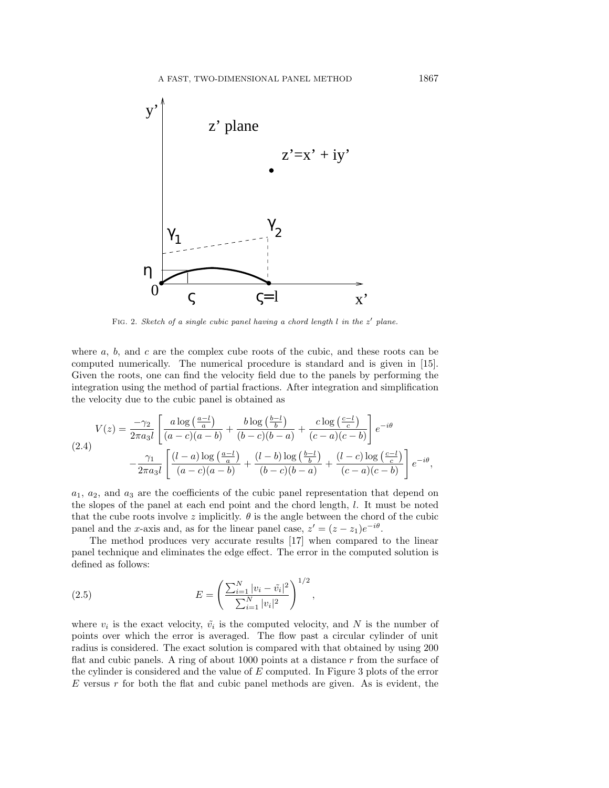

FIG. 2. Sketch of a single cubic panel having a chord length  $l$  in the  $z'$  plane.

where  $a, b$ , and  $c$  are the complex cube roots of the cubic, and these roots can be computed numerically. The numerical procedure is standard and is given in [15]. Given the roots, one can find the velocity field due to the panels by performing the integration using the method of partial fractions. After integration and simplification the velocity due to the cubic panel is obtained as

$$
V(z) = \frac{-\gamma_2}{2\pi a_3 l} \left[ \frac{a \log\left(\frac{a-l}{a}\right)}{(a-c)(a-b)} + \frac{b \log\left(\frac{b-l}{b}\right)}{(b-c)(b-a)} + \frac{c \log\left(\frac{c-l}{c}\right)}{(c-a)(c-b)} \right] e^{-i\theta}
$$
  
(2.4)
$$
-\frac{\gamma_1}{2\pi a_3 l} \left[ \frac{(l-a) \log\left(\frac{a-l}{a}\right)}{(a-c)(a-b)} + \frac{(l-b) \log\left(\frac{b-l}{b}\right)}{(b-c)(b-a)} + \frac{(l-c) \log\left(\frac{c-l}{c}\right)}{(c-a)(c-b)} \right] e^{-i\theta},
$$

 $a_1, a_2$ , and  $a_3$  are the coefficients of the cubic panel representation that depend on the slopes of the panel at each end point and the chord length, l. It must be noted that the cube roots involve z implicitly.  $\theta$  is the angle between the chord of the cubic panel and the x-axis and, as for the linear panel case,  $z' = (z - z_1)e^{-i\theta}$ .

The method produces very accurate results [17] when compared to the linear panel technique and eliminates the edge effect. The error in the computed solution is defined as follows:

(2.5) 
$$
E = \left(\frac{\sum_{i=1}^{N} |v_i - \tilde{v}_i|^2}{\sum_{i=1}^{N} |v_i|^2}\right)^{1/2},
$$

where  $v_i$  is the exact velocity,  $\tilde{v}_i$  is the computed velocity, and N is the number of points over which the error is averaged. The flow past a circular cylinder of unit radius is considered. The exact solution is compared with that obtained by using 200 flat and cubic panels. A ring of about 1000 points at a distance r from the surface of the cylinder is considered and the value of E computed. In Figure 3 plots of the error  $E$  versus  $r$  for both the flat and cubic panel methods are given. As is evident, the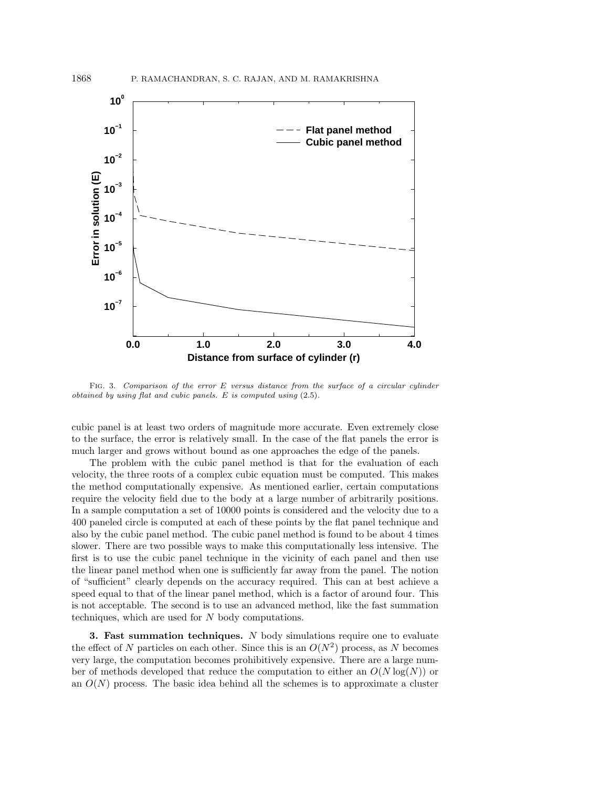

Fig. 3. Comparison of the error E versus distance from the surface of a circular cylinder obtained by using flat and cubic panels. E is computed using (2.5).

cubic panel is at least two orders of magnitude more accurate. Even extremely close to the surface, the error is relatively small. In the case of the flat panels the error is much larger and grows without bound as one approaches the edge of the panels.

The problem with the cubic panel method is that for the evaluation of each velocity, the three roots of a complex cubic equation must be computed. This makes the method computationally expensive. As mentioned earlier, certain computations require the velocity field due to the body at a large number of arbitrarily positions. In a sample computation a set of 10000 points is considered and the velocity due to a 400 paneled circle is computed at each of these points by the flat panel technique and also by the cubic panel method. The cubic panel method is found to be about 4 times slower. There are two possible ways to make this computationally less intensive. The first is to use the cubic panel technique in the vicinity of each panel and then use the linear panel method when one is sufficiently far away from the panel. The notion of "sufficient" clearly depends on the accuracy required. This can at best achieve a speed equal to that of the linear panel method, which is a factor of around four. This is not acceptable. The second is to use an advanced method, like the fast summation techniques, which are used for N body computations.

**3. Fast summation techniques.** N body simulations require one to evaluate the effect of N particles on each other. Since this is an  $O(N^2)$  process, as N becomes very large, the computation becomes prohibitively expensive. There are a large number of methods developed that reduce the computation to either an  $O(N \log(N))$  or an  $O(N)$  process. The basic idea behind all the schemes is to approximate a cluster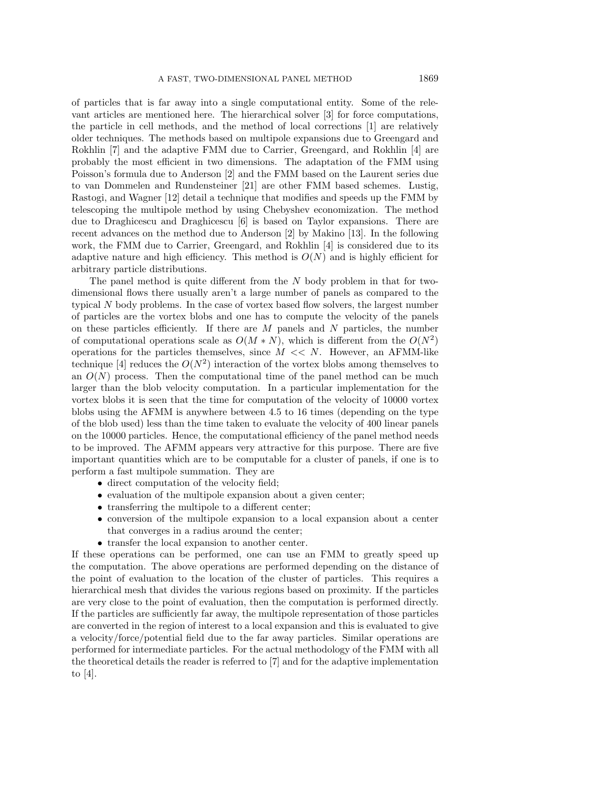of particles that is far away into a single computational entity. Some of the relevant articles are mentioned here. The hierarchical solver [3] for force computations, the particle in cell methods, and the method of local corrections [1] are relatively older techniques. The methods based on multipole expansions due to Greengard and Rokhlin [7] and the adaptive FMM due to Carrier, Greengard, and Rokhlin [4] are probably the most efficient in two dimensions. The adaptation of the FMM using Poisson's formula due to Anderson [2] and the FMM based on the Laurent series due to van Dommelen and Rundensteiner [21] are other FMM based schemes. Lustig, Rastogi, and Wagner [12] detail a technique that modifies and speeds up the FMM by telescoping the multipole method by using Chebyshev economization. The method due to Draghicescu and Draghicescu [6] is based on Taylor expansions. There are recent advances on the method due to Anderson [2] by Makino [13]. In the following work, the FMM due to Carrier, Greengard, and Rokhlin [4] is considered due to its adaptive nature and high efficiency. This method is  $O(N)$  and is highly efficient for arbitrary particle distributions.

The panel method is quite different from the  $N$  body problem in that for twodimensional flows there usually aren't a large number of panels as compared to the typical N body problems. In the case of vortex based flow solvers, the largest number of particles are the vortex blobs and one has to compute the velocity of the panels on these particles efficiently. If there are  $M$  panels and  $N$  particles, the number of computational operations scale as  $O(M*N)$ , which is different from the  $O(N^2)$ operations for the particles themselves, since  $M \ll N$ . However, an AFMM-like technique [4] reduces the  $O(N^2)$  interaction of the vortex blobs among themselves to an  $O(N)$  process. Then the computational time of the panel method can be much larger than the blob velocity computation. In a particular implementation for the vortex blobs it is seen that the time for computation of the velocity of 10000 vortex blobs using the AFMM is anywhere between 4.5 to 16 times (depending on the type of the blob used) less than the time taken to evaluate the velocity of 400 linear panels on the 10000 particles. Hence, the computational efficiency of the panel method needs to be improved. The AFMM appears very attractive for this purpose. There are five important quantities which are to be computable for a cluster of panels, if one is to perform a fast multipole summation. They are

- direct computation of the velocity field:
- evaluation of the multipole expansion about a given center;
- transferring the multipole to a different center;
- conversion of the multipole expansion to a local expansion about a center that converges in a radius around the center;
- transfer the local expansion to another center.

If these operations can be performed, one can use an FMM to greatly speed up the computation. The above operations are performed depending on the distance of the point of evaluation to the location of the cluster of particles. This requires a hierarchical mesh that divides the various regions based on proximity. If the particles are very close to the point of evaluation, then the computation is performed directly. If the particles are sufficiently far away, the multipole representation of those particles are converted in the region of interest to a local expansion and this is evaluated to give a velocity/force/potential field due to the far away particles. Similar operations are performed for intermediate particles. For the actual methodology of the FMM with all the theoretical details the reader is referred to [7] and for the adaptive implementation to [4].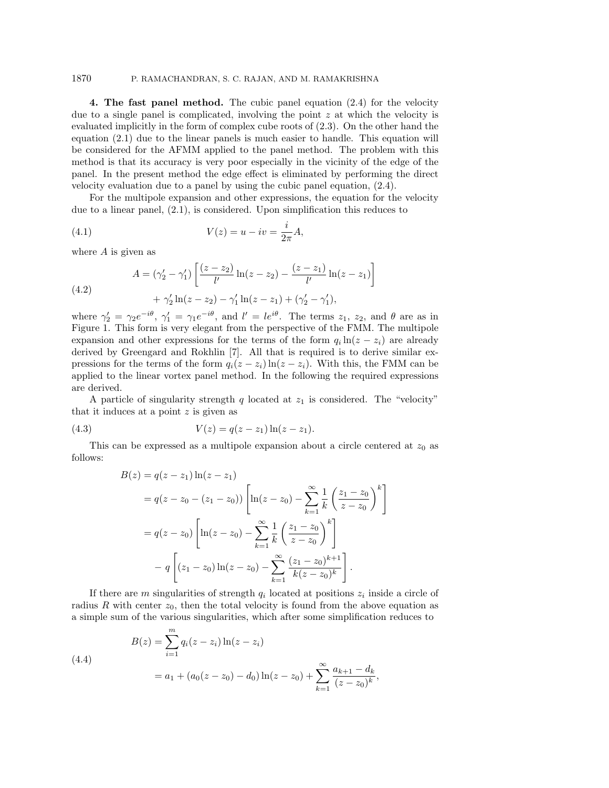## 1870 P. RAMACHANDRAN, S. C. RAJAN, AND M. RAMAKRISHNA

**4. The fast panel method.** The cubic panel equation (2.4) for the velocity due to a single panel is complicated, involving the point z at which the velocity is evaluated implicitly in the form of complex cube roots of (2.3). On the other hand the equation (2.1) due to the linear panels is much easier to handle. This equation will be considered for the AFMM applied to the panel method. The problem with this method is that its accuracy is very poor especially in the vicinity of the edge of the panel. In the present method the edge effect is eliminated by performing the direct velocity evaluation due to a panel by using the cubic panel equation, (2.4).

For the multipole expansion and other expressions, the equation for the velocity due to a linear panel, (2.1), is considered. Upon simplification this reduces to

1

(4.1) 
$$
V(z) = u - iv = \frac{i}{2\pi}A,
$$

where  $A$  is given as

(4.2)  
\n
$$
A = (\gamma_2' - \gamma_1') \left[ \frac{(z - z_2)}{l'} \ln(z - z_2) - \frac{(z - z_1)}{l'} \ln(z - z_1) + \gamma_2' \ln(z - z_2) - \gamma_1' \ln(z - z_1) + (\gamma_2' - \gamma_1'), \right.
$$

where  $\gamma'_2 = \gamma_2 e^{-i\theta}$ ,  $\gamma'_1 = \gamma_1 e^{-i\theta}$ , and  $l' = le^{i\theta}$ . The terms  $z_1$ ,  $z_2$ , and  $\theta$  are as in Figure 1. This form is very elegant from the perspective of the FMM. The multipole expansion and other expressions for the terms of the form  $q_i \ln(z - z_i)$  are already derived by Greengard and Rokhlin [7]. All that is required is to derive similar expressions for the terms of the form  $q_i(z - z_i) \ln(z - z_i)$ . With this, the FMM can be applied to the linear vortex panel method. In the following the required expressions are derived.

A particle of singularity strength q located at  $z_1$  is considered. The "velocity" that it induces at a point  $z$  is given as

(4.3) 
$$
V(z) = q(z - z_1) \ln(z - z_1).
$$

This can be expressed as a multipole expansion about a circle centered at  $z_0$  as follows:

$$
B(z) = q(z - z_1) \ln(z - z_1)
$$
  
=  $q(z - z_0 - (z_1 - z_0)) \left[ \ln(z - z_0) - \sum_{k=1}^{\infty} \frac{1}{k} \left( \frac{z_1 - z_0}{z - z_0} \right)^k \right]$   
=  $q(z - z_0) \left[ \ln(z - z_0) - \sum_{k=1}^{\infty} \frac{1}{k} \left( \frac{z_1 - z_0}{z - z_0} \right)^k \right]$   
-  $q \left[ (z_1 - z_0) \ln(z - z_0) - \sum_{k=1}^{\infty} \frac{(z_1 - z_0)^{k+1}}{k(z - z_0)^k} \right].$ 

If there are m singularities of strength  $q_i$  located at positions  $z_i$  inside a circle of radius R with center  $z_0$ , then the total velocity is found from the above equation as a simple sum of the various singularities, which after some simplification reduces to

(4.4)  
\n
$$
B(z) = \sum_{i=1}^{m} q_i (z - z_i) \ln(z - z_i)
$$
\n
$$
= a_1 + (a_0(z - z_0) - d_0) \ln(z - z_0) + \sum_{k=1}^{\infty} \frac{a_{k+1} - d_k}{(z - z_0)^k},
$$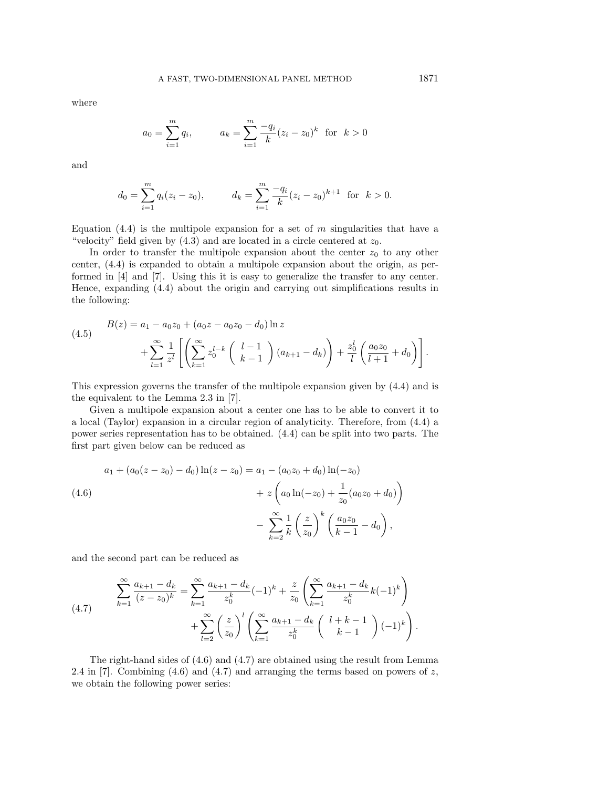where

$$
a_0 = \sum_{i=1}^m q_i, \qquad a_k = \sum_{i=1}^m \frac{-q_i}{k} (z_i - z_0)^k \text{ for } k > 0
$$

and

$$
d_0 = \sum_{i=1}^m q_i (z_i - z_0),
$$
  $d_k = \sum_{i=1}^m \frac{-q_i}{k} (z_i - z_0)^{k+1}$  for  $k > 0$ .

Equation  $(4.4)$  is the multipole expansion for a set of m singularities that have a "velocity" field given by  $(4.3)$  and are located in a circle centered at  $z_0$ .

In order to transfer the multipole expansion about the center  $z_0$  to any other center, (4.4) is expanded to obtain a multipole expansion about the origin, as performed in [4] and [7]. Using this it is easy to generalize the transfer to any center. Hence, expanding (4.4) about the origin and carrying out simplifications results in the following:

(4.5) 
$$
B(z) = a_1 - a_0 z_0 + (a_0 z - a_0 z_0 - d_0) \ln z + \sum_{l=1}^{\infty} \frac{1}{z^l} \left[ \left( \sum_{k=1}^{\infty} z_0^{l-k} \begin{pmatrix} l-1 \\ k-1 \end{pmatrix} (a_{k+1} - d_k) \right) + \frac{z_0^l}{l} \left( \frac{a_0 z_0}{l+1} + d_0 \right) \right].
$$

This expression governs the transfer of the multipole expansion given by (4.4) and is the equivalent to the Lemma 2.3 in [7].

Given a multipole expansion about a center one has to be able to convert it to a local (Taylor) expansion in a circular region of analyticity. Therefore, from (4.4) a power series representation has to be obtained. (4.4) can be split into two parts. The first part given below can be reduced as

$$
a_1 + (a_0(z - z_0) - d_0) \ln(z - z_0) = a_1 - (a_0z_0 + d_0) \ln(-z_0)
$$
  
+  $z \left( a_0 \ln(-z_0) + \frac{1}{z_0} (a_0z_0 + d_0) \right)$   
-  $\sum_{k=2}^{\infty} \frac{1}{k} \left( \frac{z}{z_0} \right)^k \left( \frac{a_0z_0}{k-1} - d_0 \right),$ 

and the second part can be reduced as

$$
(4.7) \qquad \sum_{k=1}^{\infty} \frac{a_{k+1} - d_k}{(z - z_0)^k} = \sum_{k=1}^{\infty} \frac{a_{k+1} - d_k}{z_0^k} (-1)^k + \frac{z}{z_0} \left( \sum_{k=1}^{\infty} \frac{a_{k+1} - d_k}{z_0^k} k(-1)^k \right) + \sum_{l=2}^{\infty} \left( \frac{z}{z_0} \right)^l \left( \sum_{k=1}^{\infty} \frac{a_{k+1} - d_k}{z_0^k} \left( \begin{array}{c} l+k-1\\k-1 \end{array} \right) (-1)^k \right)
$$

The right-hand sides of (4.6) and (4.7) are obtained using the result from Lemma 2.4 in [7]. Combining (4.6) and (4.7) and arranging the terms based on powers of  $z$ , we obtain the following power series:

.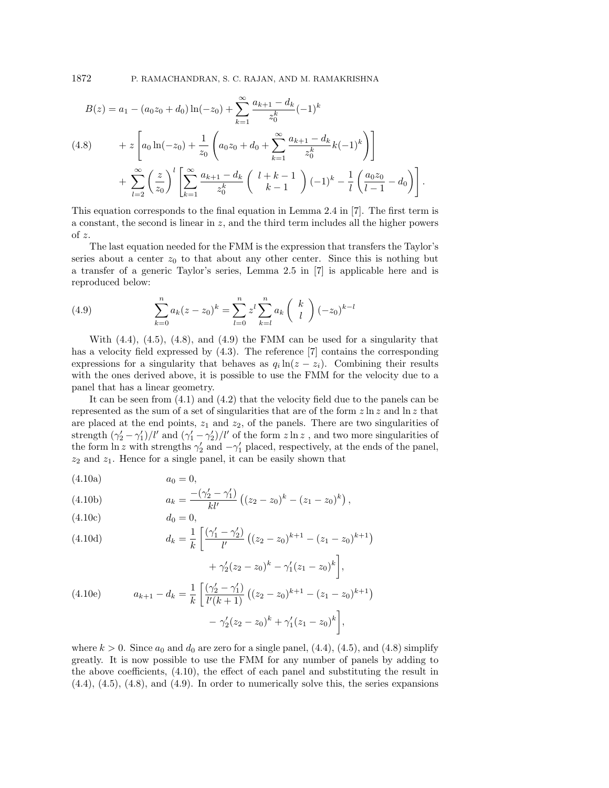1872 P. RAMACHANDRAN, S. C. RAJAN, AND M. RAMAKRISHNA

$$
B(z) = a_1 - (a_0 z_0 + d_0) \ln(-z_0) + \sum_{k=1}^{\infty} \frac{a_{k+1} - d_k}{z_0^k} (-1)^k
$$
  
(4.8) 
$$
+ z \left[ a_0 \ln(-z_0) + \frac{1}{z_0} \left( a_0 z_0 + d_0 + \sum_{k=1}^{\infty} \frac{a_{k+1} - d_k}{z_0^k} k(-1)^k \right) \right] + \sum_{l=2}^{\infty} \left( \frac{z}{z_0} \right)^l \left[ \sum_{k=1}^{\infty} \frac{a_{k+1} - d_k}{z_0^k} \left( \frac{l+k-1}{k-1} \right) (-1)^k - \frac{1}{l} \left( \frac{a_0 z_0}{l-1} - d_0 \right) \right].
$$

This equation corresponds to the final equation in Lemma 2.4 in [7]. The first term is a constant, the second is linear in  $z$ , and the third term includes all the higher powers of z.

The last equation needed for the FMM is the expression that transfers the Taylor's series about a center  $z_0$  to that about any other center. Since this is nothing but a transfer of a generic Taylor's series, Lemma 2.5 in [7] is applicable here and is reproduced below:

(4.9) 
$$
\sum_{k=0}^{n} a_k (z - z_0)^k = \sum_{l=0}^{n} z^l \sum_{k=l}^{n} a_k {k \choose l} (-z_0)^{k-l}
$$

With  $(4.4)$ ,  $(4.5)$ ,  $(4.8)$ , and  $(4.9)$  the FMM can be used for a singularity that has a velocity field expressed by (4.3). The reference [7] contains the corresponding expressions for a singularity that behaves as  $q_i \ln(z - z_i)$ . Combining their results with the ones derived above, it is possible to use the FMM for the velocity due to a panel that has a linear geometry.

It can be seen from  $(4.1)$  and  $(4.2)$  that the velocity field due to the panels can be represented as the sum of a set of singularities that are of the form  $z \ln z$  and  $\ln z$  that are placed at the end points,  $z_1$  and  $z_2$ , of the panels. There are two singularities of strength  $(\gamma_2' - \gamma_1')/l'$  and  $(\gamma_1' - \gamma_2')/l'$  of the form  $z \ln z$ , and two more singularities of the form  $\ln z$  with strengths  $\gamma'_2$  and  $-\gamma'_1$  placed, respectively, at the ends of the panel,  $z_2$  and  $z_1$ . Hence for a single panel, it can be easily shown that

$$
(4.10a) \t\t\t a_0 = 0,
$$

(4.10b) 
$$
a_k = \frac{-(\gamma'_2 - \gamma'_1)}{kl'} \left( (z_2 - z_0)^k - (z_1 - z_0)^k \right),
$$

$$
(4.10c) \t\t d_0 = 0,
$$

(4.10d) 
$$
d_k = \frac{1}{k} \left[ \frac{(\gamma_1' - \gamma_2')}{l'} \left( (z_2 - z_0)^{k+1} - (z_1 - z_0)^{k+1} \right) \right]
$$

$$
+\gamma_2'(z_2-z_0)^k-\gamma_1'(z_1-z_0)^k\bigg],
$$

(4.10e) 
$$
a_{k+1} - d_k = \frac{1}{k} \left[ \frac{(\gamma_2' - \gamma_1')}{l'(k+1)} \left( (z_2 - z_0)^{k+1} - (z_1 - z_0)^{k+1} \right) - \gamma_2'(z_2 - z_0)^k + \gamma_1'(z_1 - z_0)^k \right],
$$

where  $k > 0$ . Since  $a_0$  and  $d_0$  are zero for a single panel, (4.4), (4.5), and (4.8) simplify greatly. It is now possible to use the FMM for any number of panels by adding to the above coefficients, (4.10), the effect of each panel and substituting the result in (4.4), (4.5), (4.8), and (4.9). In order to numerically solve this, the series expansions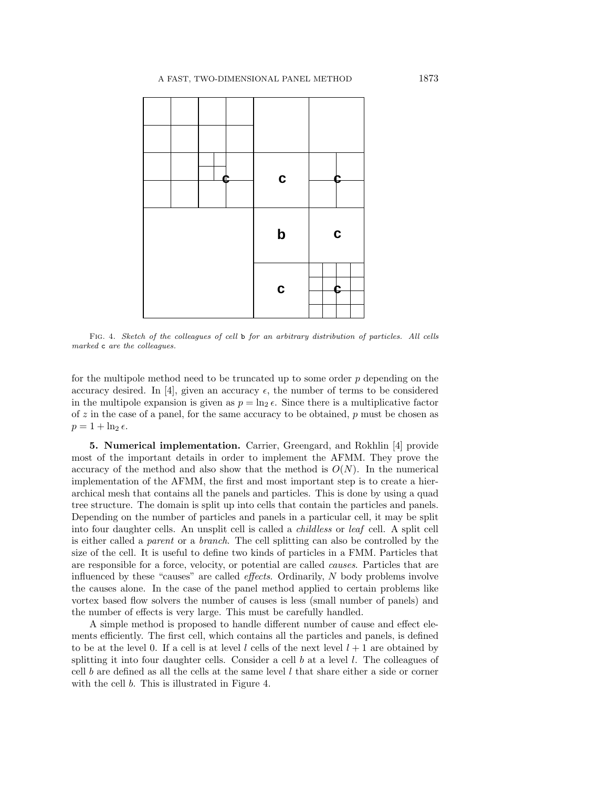

Fig. 4. Sketch of the colleagues of cell b for an arbitrary distribution of particles. All cells marked c are the colleagues.

for the multipole method need to be truncated up to some order  $p$  depending on the accuracy desired. In [4], given an accuracy  $\epsilon$ , the number of terms to be considered in the multipole expansion is given as  $p = \ln_2 \epsilon$ . Since there is a multiplicative factor of z in the case of a panel, for the same accuracy to be obtained,  $p$  must be chosen as  $p = 1 + \ln_2 \epsilon$ .

**5. Numerical implementation.** Carrier, Greengard, and Rokhlin [4] provide most of the important details in order to implement the AFMM. They prove the accuracy of the method and also show that the method is  $O(N)$ . In the numerical implementation of the AFMM, the first and most important step is to create a hierarchical mesh that contains all the panels and particles. This is done by using a quad tree structure. The domain is split up into cells that contain the particles and panels. Depending on the number of particles and panels in a particular cell, it may be split into four daughter cells. An unsplit cell is called a childless or leaf cell. A split cell is either called a parent or a branch. The cell splitting can also be controlled by the size of the cell. It is useful to define two kinds of particles in a FMM. Particles that are responsible for a force, velocity, or potential are called causes. Particles that are influenced by these "causes" are called *effects*. Ordinarily,  $N$  body problems involve the causes alone. In the case of the panel method applied to certain problems like vortex based flow solvers the number of causes is less (small number of panels) and the number of effects is very large. This must be carefully handled.

A simple method is proposed to handle different number of cause and effect elements efficiently. The first cell, which contains all the particles and panels, is defined to be at the level 0. If a cell is at level l cells of the next level  $l + 1$  are obtained by splitting it into four daughter cells. Consider a cell  $b$  at a level  $l$ . The colleagues of cell b are defined as all the cells at the same level  $l$  that share either a side or corner with the cell  $b$ . This is illustrated in Figure 4.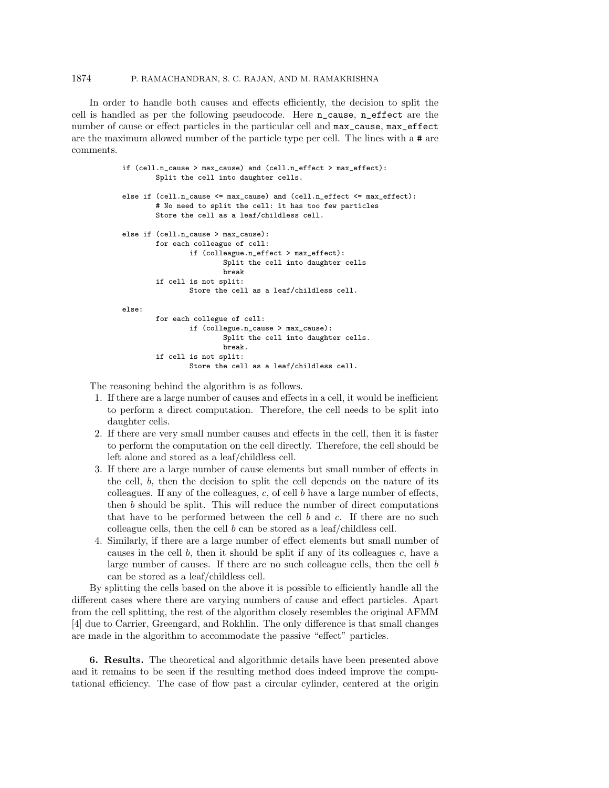In order to handle both causes and effects efficiently, the decision to split the cell is handled as per the following pseudocode. Here n\_cause, n\_effect are the number of cause or effect particles in the particular cell and max\_cause, max\_effect are the maximum allowed number of the particle type per cell. The lines with a # are comments.

```
if (cell.n_cause > max_cause) and (cell.n_effect > max_effect):
        Split the cell into daughter cells.
else if (cell.n_cause <= max_cause) and (cell.n_effect <= max_effect):
        # No need to split the cell: it has too few particles
       Store the cell as a leaf/childless cell.
else if (cell.n_cause > max_cause):
       for each colleague of cell:
                if (colleague.n_effect > max_effect):
                        Split the cell into daughter cells
                        break
        if cell is not split:
                Store the cell as a leaf/childless cell.
else:
       for each collegue of cell:
                if (collegue.n_cause > max_cause):
                        Split the cell into daughter cells.
                        break.
        if cell is not split:
                Store the cell as a leaf/childless cell.
```
The reasoning behind the algorithm is as follows.

- 1. If there are a large number of causes and effects in a cell, it would be inefficient to perform a direct computation. Therefore, the cell needs to be split into daughter cells.
- 2. If there are very small number causes and effects in the cell, then it is faster to perform the computation on the cell directly. Therefore, the cell should be left alone and stored as a leaf/childless cell.
- 3. If there are a large number of cause elements but small number of effects in the cell, b, then the decision to split the cell depends on the nature of its colleagues. If any of the colleagues,  $c$ , of cell  $b$  have a large number of effects, then b should be split. This will reduce the number of direct computations that have to be performed between the cell  $b$  and  $c$ . If there are no such colleague cells, then the cell  $b$  can be stored as a leaf/childless cell.
- 4. Similarly, if there are a large number of effect elements but small number of causes in the cell  $b$ , then it should be split if any of its colleagues  $c$ , have a large number of causes. If there are no such colleague cells, then the cell b can be stored as a leaf/childless cell.

By splitting the cells based on the above it is possible to efficiently handle all the different cases where there are varying numbers of cause and effect particles. Apart from the cell splitting, the rest of the algorithm closely resembles the original AFMM [4] due to Carrier, Greengard, and Rokhlin. The only difference is that small changes are made in the algorithm to accommodate the passive "effect" particles.

**6. Results.** The theoretical and algorithmic details have been presented above and it remains to be seen if the resulting method does indeed improve the computational efficiency. The case of flow past a circular cylinder, centered at the origin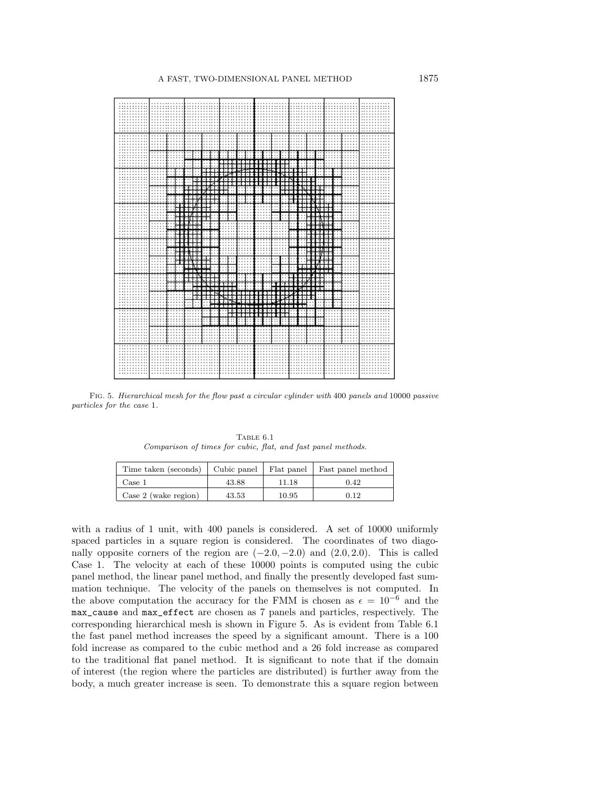

Fig. 5. Hierarchical mesh for the flow past a circular cylinder with 400 panels and 10000 passive particles for the case 1.

TABLE  $6.1$ Comparison of times for cubic, flat, and fast panel methods.

| Time taken (seconds)   | Cubic panel | Flat panel | Fast panel method |
|------------------------|-------------|------------|-------------------|
| Case 1                 | 43.88       | 11.18      | 0.42              |
| Case $2$ (wake region) | 43.53       | 10.95      | 0.12              |

with a radius of 1 unit, with 400 panels is considered. A set of 10000 uniformly spaced particles in a square region is considered. The coordinates of two diagonally opposite corners of the region are  $(-2.0, -2.0)$  and  $(2.0, 2.0)$ . This is called Case 1. The velocity at each of these 10000 points is computed using the cubic panel method, the linear panel method, and finally the presently developed fast summation technique. The velocity of the panels on themselves is not computed. In the above computation the accuracy for the FMM is chosen as  $\epsilon = 10^{-6}$  and the max\_cause and max\_effect are chosen as 7 panels and particles, respectively. The corresponding hierarchical mesh is shown in Figure 5. As is evident from Table 6.1 the fast panel method increases the speed by a significant amount. There is a 100 fold increase as compared to the cubic method and a 26 fold increase as compared to the traditional flat panel method. It is significant to note that if the domain of interest (the region where the particles are distributed) is further away from the body, a much greater increase is seen. To demonstrate this a square region between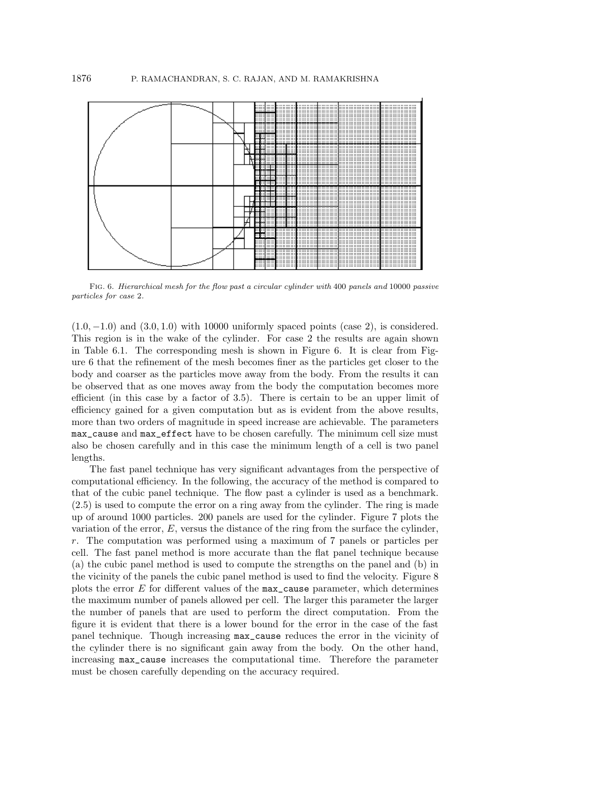

Fig. 6. Hierarchical mesh for the flow past a circular cylinder with 400 panels and 10000 passive particles for case 2.

 $(1.0, -1.0)$  and  $(3.0, 1.0)$  with 10000 uniformly spaced points (case 2), is considered. This region is in the wake of the cylinder. For case 2 the results are again shown in Table 6.1. The corresponding mesh is shown in Figure 6. It is clear from Figure 6 that the refinement of the mesh becomes finer as the particles get closer to the body and coarser as the particles move away from the body. From the results it can be observed that as one moves away from the body the computation becomes more efficient (in this case by a factor of 3.5). There is certain to be an upper limit of efficiency gained for a given computation but as is evident from the above results, more than two orders of magnitude in speed increase are achievable. The parameters max\_cause and max\_effect have to be chosen carefully. The minimum cell size must also be chosen carefully and in this case the minimum length of a cell is two panel lengths.

The fast panel technique has very significant advantages from the perspective of computational efficiency. In the following, the accuracy of the method is compared to that of the cubic panel technique. The flow past a cylinder is used as a benchmark. (2.5) is used to compute the error on a ring away from the cylinder. The ring is made up of around 1000 particles. 200 panels are used for the cylinder. Figure 7 plots the variation of the error,  $E$ , versus the distance of the ring from the surface the cylinder, r. The computation was performed using a maximum of 7 panels or particles per cell. The fast panel method is more accurate than the flat panel technique because (a) the cubic panel method is used to compute the strengths on the panel and (b) in the vicinity of the panels the cubic panel method is used to find the velocity. Figure 8 plots the error  $E$  for different values of the max\_cause parameter, which determines the maximum number of panels allowed per cell. The larger this parameter the larger the number of panels that are used to perform the direct computation. From the figure it is evident that there is a lower bound for the error in the case of the fast panel technique. Though increasing max\_cause reduces the error in the vicinity of the cylinder there is no significant gain away from the body. On the other hand, increasing max\_cause increases the computational time. Therefore the parameter must be chosen carefully depending on the accuracy required.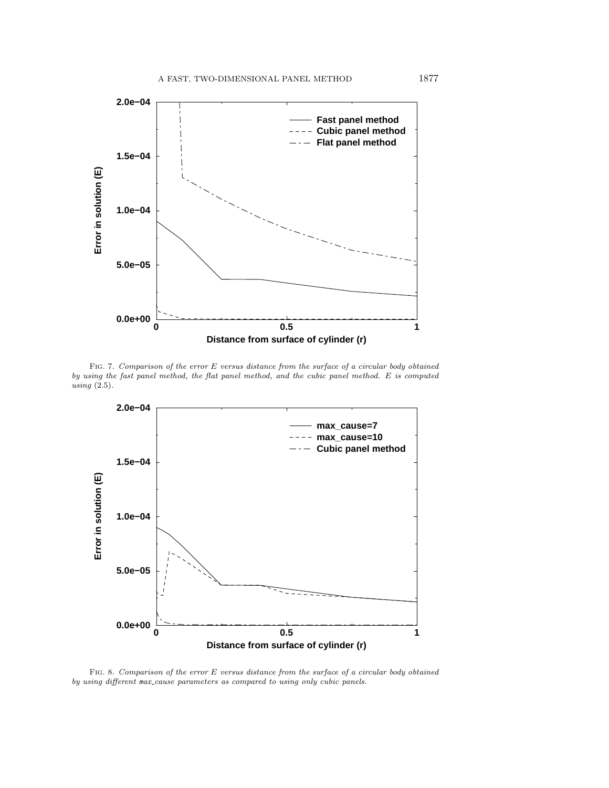

Fig. 7. Comparison of the error E versus distance from the surface of a circular body obtained by using the fast panel method, the flat panel method, and the cubic panel method. E is computed using (2.5).



FIG. 8. Comparison of the error E versus distance from the surface of a circular body obtained by using different max cause parameters as compared to using only cubic panels.